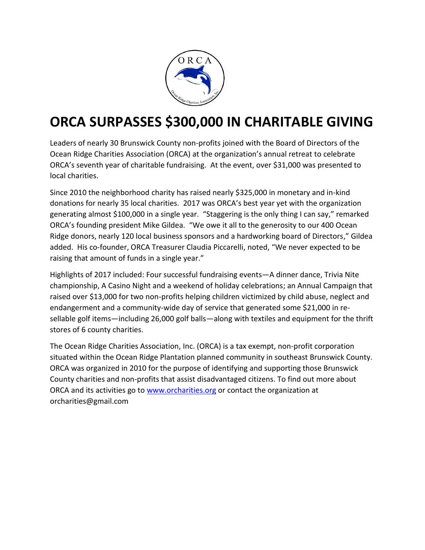

## **ORCA SURPASSES \$300,000 IN CHARITABLE GIVING**

Leaders of nearly 30 Brunswick County non-profits joined with the Board of Directors of the Ocean Ridge Charities Association (ORCA) at the organization's annual retreat to celebrate ORCA's seventh year of charitable fundraising. At the event, over \$31,000 was presented to local charities.

Since 2010 the neighborhood charity has raised nearly \$325,000 in monetary and in-kind donations for nearly 35 local charities. 2017 was ORCA's best year yet with the organization generating almost \$100,000 in a single year. "Staggering is the only thing I can say," remarked ORCA's founding president Mike Gildea. "We owe it all to the generosity to our 400 Ocean Ridge donors, nearly 120 local business sponsors and a hardworking board of Directors," Gildea added. His co-founder, ORCA Treasurer Claudia Piccarelli, noted, "We never expected to be raising that amount of funds in a single year."

Highlights of 2017 included: Four successful fundraising events—A dinner dance, Trivia Nite championship, A Casino Night and a weekend of holiday celebrations; an Annual Campaign that raised over \$13,000 for two non-profits helping children victimized by child abuse, neglect and endangerment and a community-wide day of service that generated some \$21,000 in resellable golf items—including 26,000 golf balls—along with textiles and equipment for the thrift stores of 6 county charities.

The Ocean Ridge Charities Association, Inc. (ORCA) is a tax exempt, non-profit corporation situated within the Ocean Ridge Plantation planned community in southeast Brunswick County. ORCA was organized in 2010 for the purpose of identifying and supporting those Brunswick County charities and non-profits that assist disadvantaged citizens. To find out more about ORCA and its activities go to [www.orcharities.org](http://www.orcharities.org/) or contact the organization at orcharities@gmail.com